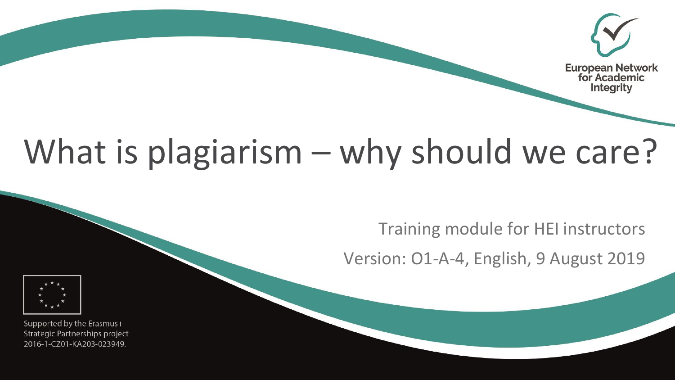

## What is plagiarism – why should we care?

Training module for HEI instructors

Version: O1-A-4, English, 9 August 2019



Supported by the Erasmus+ Strategic Partnerships project 2016-1-CZ01-KA203-023949.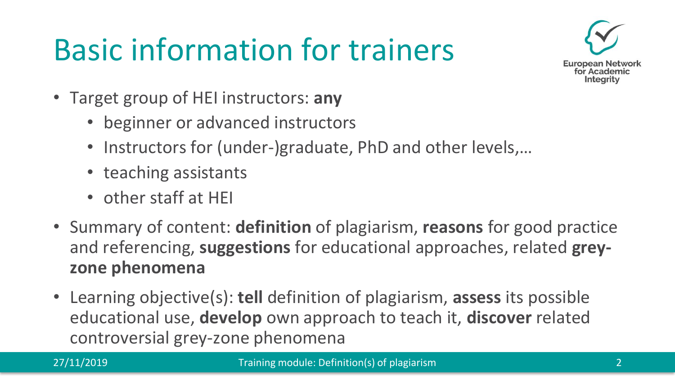### Basic information for trainers



- Target group of HEI instructors: **any**
	- beginner or advanced instructors
	- Instructors for (under-)graduate, PhD and other levels,…
	- teaching assistants
	- other staff at HEI
- Summary of content: **definition** of plagiarism, **reasons** for good practice and referencing, **suggestions** for educational approaches, related **greyzone phenomena**
- Learning objective(s): **tell** definition of plagiarism, **assess** its possible educational use, **develop** own approach to teach it, **discover** related controversial grey-zone phenomena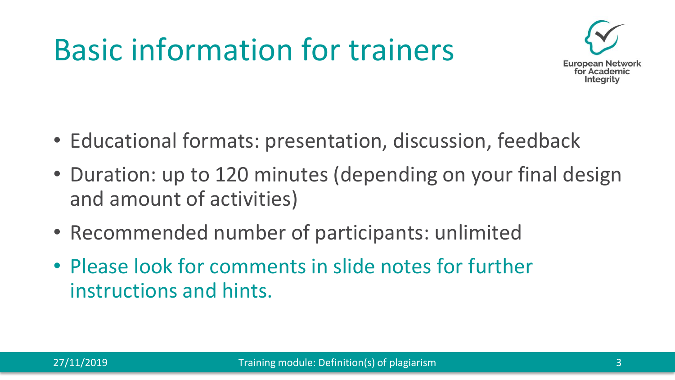### Basic information for trainers



- Educational formats: presentation, discussion, feedback
- Duration: up to 120 minutes (depending on your final design and amount of activities)
- Recommended number of participants: unlimited
- Please look for comments in slide notes for further instructions and hints.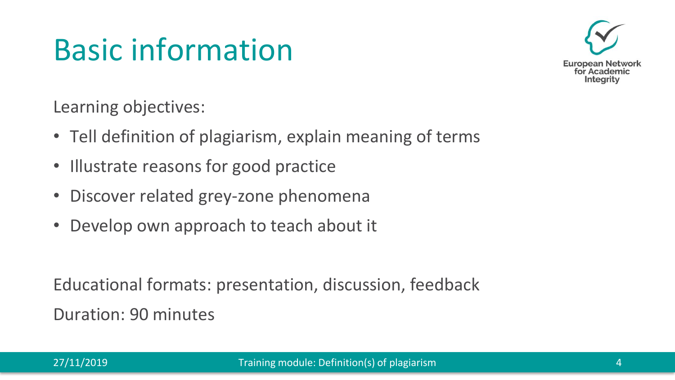### Basic information



Learning objectives:

- Tell definition of plagiarism, explain meaning of terms
- Illustrate reasons for good practice
- Discover related grey-zone phenomena
- Develop own approach to teach about it

Educational formats: presentation, discussion, feedback Duration: 90 minutes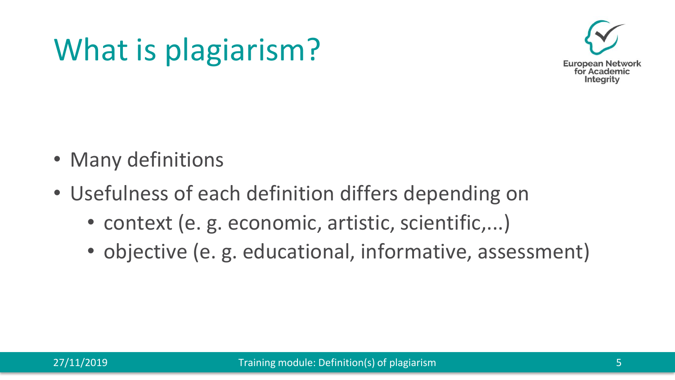#### What is plagiarism?



- Many definitions
- Usefulness of each definition differs depending on
	- context (e. g. economic, artistic, scientific,...)
	- objective (e.g. educational, informative, assessment)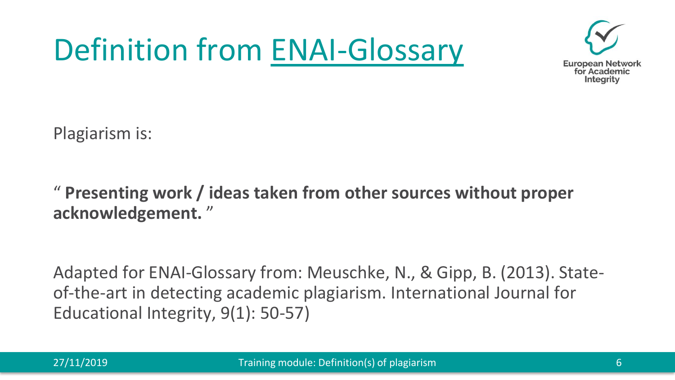#### Definition from [ENAI-Glossary](http://www.academicintegrity.eu/wp/glossary/plagiarism)



Plagiarism is:

" **Presenting work / ideas taken from other sources without proper acknowledgement.** "

Adapted for ENAI-Glossary from: Meuschke, N., & Gipp, B. (2013). Stateof-the-art in detecting academic plagiarism. International Journal for Educational Integrity, 9(1): 50-57)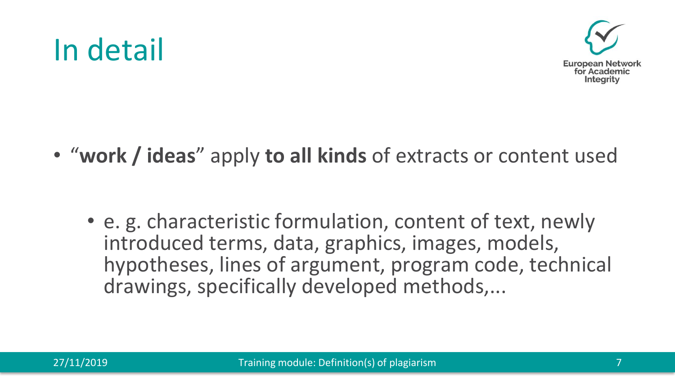

#### In detail

• "**work / ideas**" apply **to all kinds** of extracts or content used

• e. g. characteristic formulation, content of text, newly introduced terms, data, graphics, images, models, hypotheses, lines of argument, program code, technical drawings, specifically developed methods,...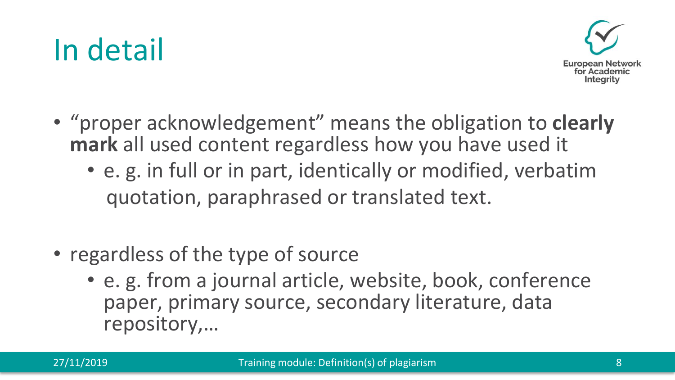### In detail



- "proper acknowledgement" means the obligation to **clearly mark** all used content regardless how you have used it
	- e. g. in full or in part, identically or modified, verbatim quotation, paraphrased or translated text.
- regardless of the type of source
	- e. g. from a journal article, website, book, conference paper, primary source, secondary literature, data repository,…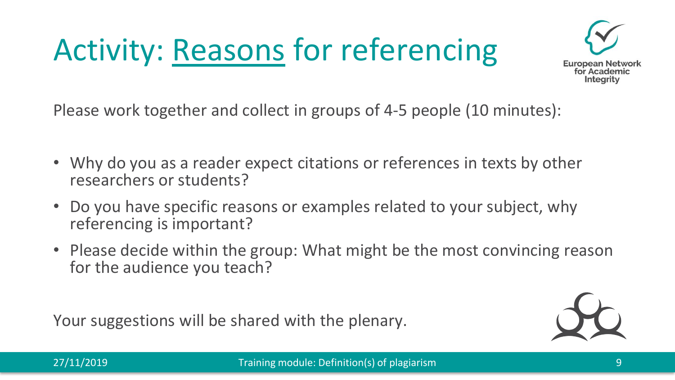### Activity: [Reasons](http://www.academicintegrity.eu/wp/materials/why-do-we-even-give-sources-a-list-of-reasons-for-good-practice-maintaining-integrity) for referencing



Please work together and collect in groups of 4-5 people (10 minutes):

- Why do you as a reader expect citations or references in texts by other researchers or students?
- Do you have specific reasons or examples related to your subject, why referencing is important?
- Please decide within the group: What might be the most convincing reason for the audience you teach?

Your suggestions will be shared with the plenary.

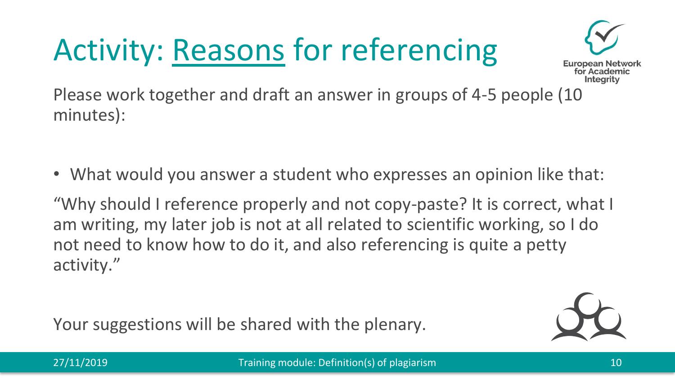## Activity: [Reasons](http://www.academicintegrity.eu/wp/materials/why-do-we-even-give-sources-a-list-of-reasons-for-good-practice-maintaining-integrity) for referencing



Please work together and draft an answer in groups of 4-5 people (10 minutes):

• What would you answer a student who expresses an opinion like that:

"Why should I reference properly and not copy-paste? It is correct, what I am writing, my later job is not at all related to scientific working, so I do not need to know how to do it, and also referencing is quite a petty activity."

Your suggestions will be shared with the plenary.

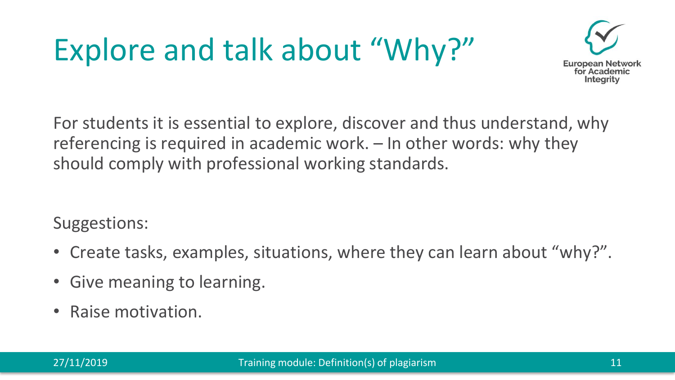## Explore and talk about "Why?"



For students it is essential to explore, discover and thus understand, why referencing is required in academic work. – In other words: why they should comply with professional working standards.

Suggestions:

- Create tasks, examples, situations, where they can learn about "why?".
- Give meaning to learning.
- Raise motivation.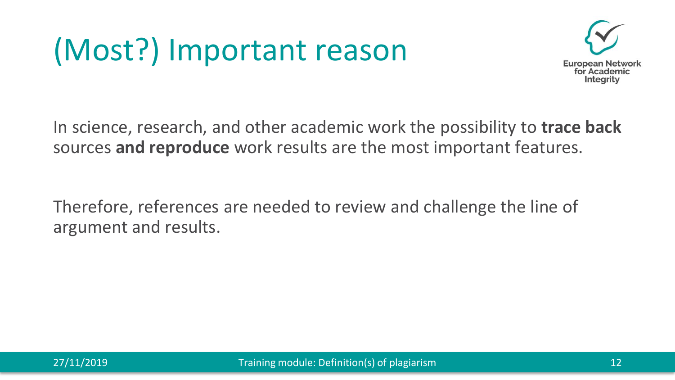### (Most?) Important reason



In science, research, and other academic work the possibility to **trace back**  sources **and reproduce** work results are the most important features.

Therefore, references are needed to review and challenge the line of argument and results.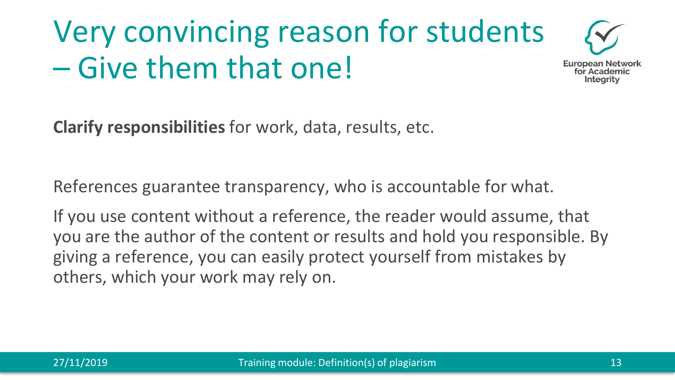### Very convincing reason for students – Give them that one!



**Clarify responsibilities** for work, data, results, etc.

References guarantee transparency, who is accountable for what.

If you use content without a reference, the reader would assume, that you are the author of the content or results and hold you responsible. By giving a reference, you can easily protect yourself from mistakes by others, which your work may rely on.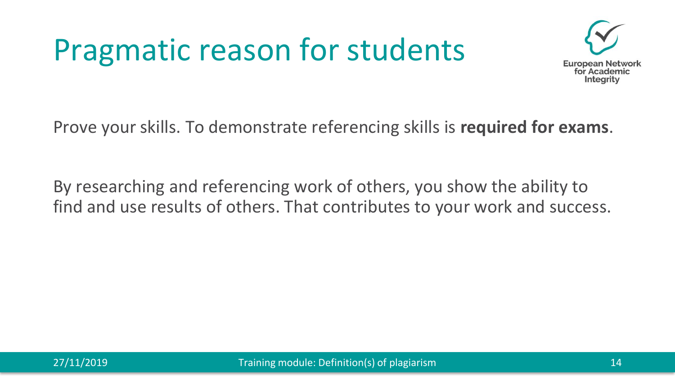#### Pragmatic reason for students



Prove your skills. To demonstrate referencing skills is **required for exams**.

By researching and referencing work of others, you show the ability to find and use results of others. That contributes to your work and success.

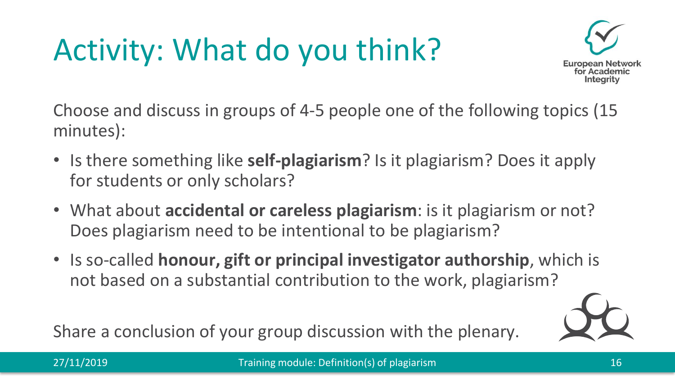# Activity: What do you think?



Choose and discuss in groups of 4-5 people one of the following topics (15 minutes):

- Is there something like **self-plagiarism**? Is it plagiarism? Does it apply for students or only scholars?
- What about **accidental or careless plagiarism**: is it plagiarism or not? Does plagiarism need to be intentional to be plagiarism?
- Is so-called **honour, gift or principal investigator authorship**, which is not based on a substantial contribution to the work, plagiarism?

Share a conclusion of your group discussion with the plenary.

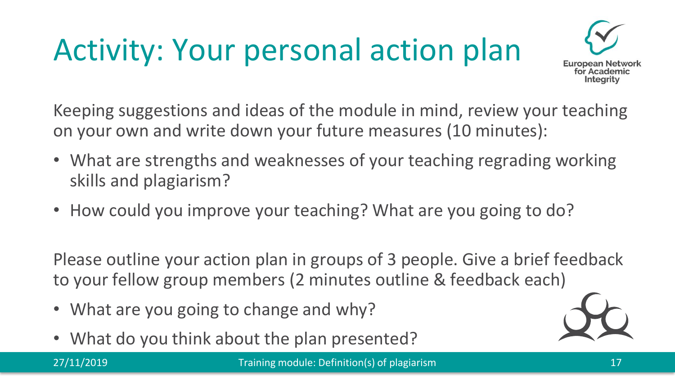# Activity: Your personal action plan



Keeping suggestions and ideas of the module in mind, review your teaching on your own and write down your future measures (10 minutes):

- What are strengths and weaknesses of your teaching regrading working skills and plagiarism?
- How could you improve your teaching? What are you going to do?

Please outline your action plan in groups of 3 people. Give a brief feedback to your fellow group members (2 minutes outline & feedback each)

- What are you going to change and why?
- What do you think about the plan presented?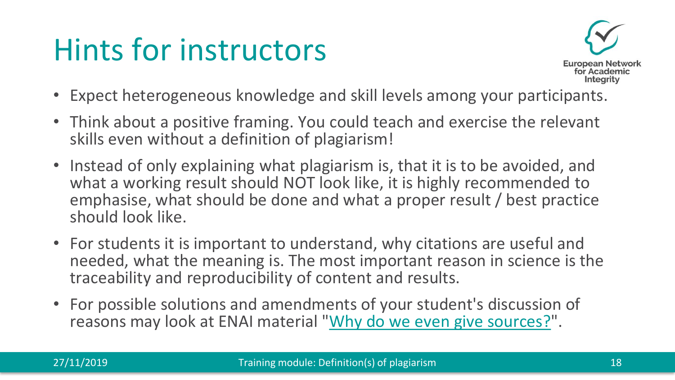### Hints for instructors



- Expect heterogeneous knowledge and skill levels among your participants.
- Think about a positive framing. You could teach and exercise the relevant skills even without a definition of plagiarism!
- Instead of only explaining what plagiarism is, that it is to be avoided, and what a working result should NOT look like, it is highly recommended to emphasise, what should be done and what a proper result / best practice should look like.
- For students it is important to understand, why citations are useful and needed, what the meaning is. The most important reason in science is the traceability and reproducibility of content and results.
- For possible solutions and amendments of your student's discussion of reasons may look at ENAI material ["Why do we even give sources?"](http://www.academicintegrity.eu/wp/materials/why-do-we-even-give-sources-a-list-of-reasons-for-good-practice-maintaining-integrity).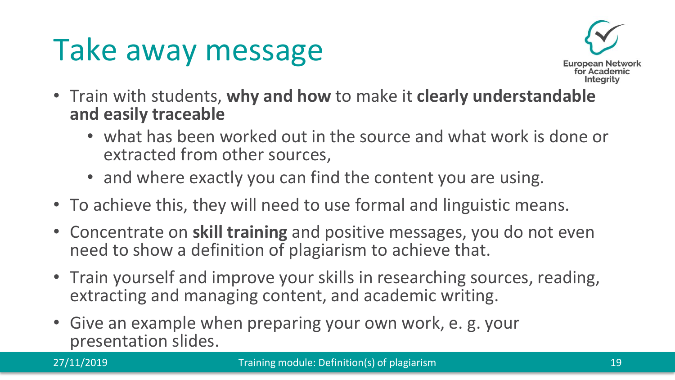### Take away message



- Train with students, **why and how** to make it **clearly understandable and easily traceable**
	- what has been worked out in the source and what work is done or extracted from other sources,
	- and where exactly you can find the content you are using.
- To achieve this, they will need to use formal and linguistic means.
- Concentrate on **skill training** and positive messages, you do not even need to show a definition of plagiarism to achieve that.
- Train yourself and improve your skills in researching sources, reading, extracting and managing content, and academic writing.
- Give an example when preparing your own work, e. g. your presentation slides.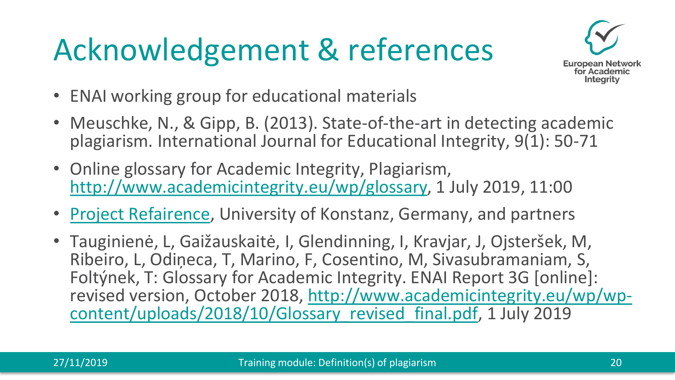## Acknowledgement & references



- ENAI working group for educational materials
- Meuschke, N., & Gipp, B. (2013). State-of-the-art in detecting academic plagiarism. International Journal for Educational Integrity, 9(1): 50-71
- Online glossary for Academic Integrity, Plagiarism, [http://www.academicintegrity.eu/wp/glossary,](http://www.academicintegrity.eu/wp/glossary) 1 July 2019, 11:00
- [Project Refairence](http://www.refairence.org/), University of Konstanz, Germany, and partners
- Tauginienė, L, Gaižauskaitė, I, Glendinning, I, Kravjar, J, Ojsteršek, M, Ribeiro, L, Odiņeca, T, Marino, F, Cosentino, M, Sivasubramaniam, S, Foltýnek, T: Glossary for Academic Integrity. ENAI Report 3G [online]: revised version, October 2018, http://www.academicintegrity.eu/wp/wp[content/uploads/2018/10/Glossary\\_revised\\_final.pdf, 1 July](http://www.academicintegrity.eu/wp/wp-content/uploads/2018/10/Glossary_revised_final.pdf) 2019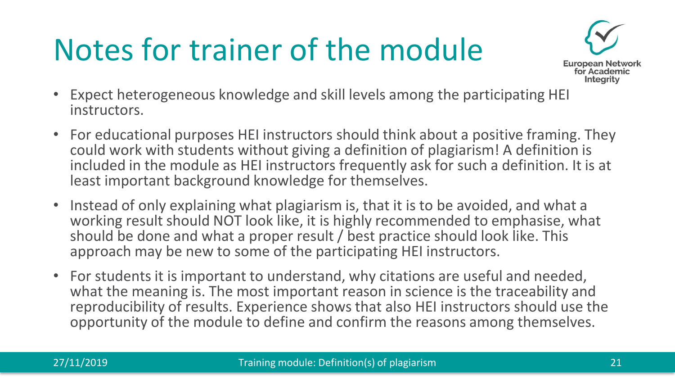## Notes for trainer of the module



- Expect heterogeneous knowledge and skill levels among the participating HEI instructors.
- For educational purposes HEI instructors should think about a positive framing. They could work with students without giving a definition of plagiarism! A definition is included in the module as HEI instructors frequently ask for such a definition. It is at least important background knowledge for themselves.
- Instead of only explaining what plagiarism is, that it is to be avoided, and what a working result should NOT look like, it is highly recommended to emphasise, what should be done and what a proper result / best practice should look like. This approach may be new to some of the participating HEI instructors.
- For students it is important to understand, why citations are useful and needed, what the meaning is. The most important reason in science is the traceability and reproducibility of results. Experience shows that also HEI instructors should use the opportunity of the module to define and confirm the reasons among themselves.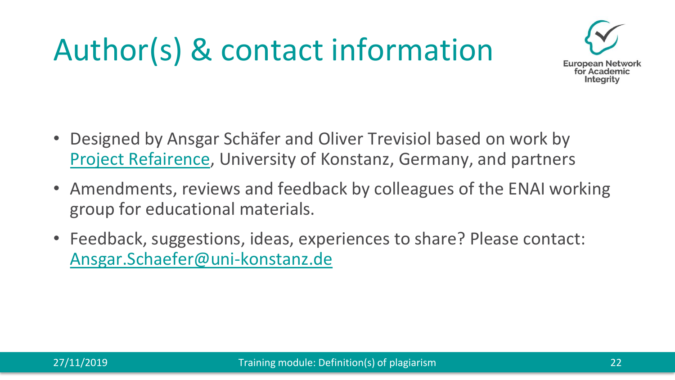## Author(s) & contact information



- Designed by Ansgar Schäfer and Oliver Trevisiol based on work by [Project Refairence](http://www.refairence.org/), University of Konstanz, Germany, and partners
- Amendments, reviews and feedback by colleagues of the ENAI working group for educational materials.
- Feedback, suggestions, ideas, experiences to share? Please contact: [Ansgar.Schaefer@uni-konstanz.de](mailto:Ansgar.Schaefer@uni-konstanz.de)